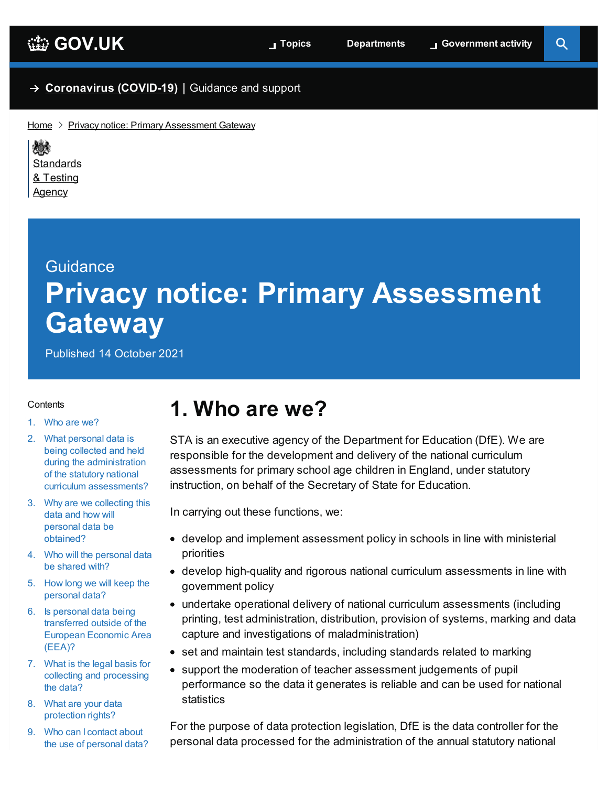#### → **[Coronavirus](https://www.gov.uk/coronavirus) (COVID-19)** Guidance and support

 $Home$  > Privacy notice: Primary [Assessment](https://www.gov.uk/government/publications/privacy-notice-primary-assessment-gateway) Gateway

戀 **[Standards](https://www.gov.uk/government/organisations/standards-and-testing-agency)** & Testing Agency

# **Guidance Privacy notice: Primary Assessment Gateway**

Published 14 October 2021

#### <span id="page-0-1"></span>**Contents**

- 1. [Who](#page-0-0) are we?
- 2. What personal data is being collected and held during the [administration](#page-1-0) of the statutory national curriculum assessments?
- 3. Why are we collecting this data and how will personal data be [obtained?](#page-2-0)
- 4. Who will the [personal](#page-3-0) data be shared with?
- 5. How long we will keep the [personal](#page-4-0) data?
- 6. Is personal data being [transferred](#page-4-1) outside of the European Economic Area (EEA)?
- 7. What is the legal basis for collecting and [processing](#page-4-2) the data?
- 8. What are your data [protection](#page-5-0) rights?
- 9. Who can I contact about the use of [personal](#page-5-1) data?

### <span id="page-0-0"></span>**1. Who are we?**

STA is an executive agency of the Department for Education (DfE). We are responsible for the development and delivery of the national curriculum assessments for primary school age children in England, under statutory instruction, on behalf of the Secretary of State for Education.

In carrying out these functions, we:

- develop and implement assessment policy in schools in line with ministerial priorities
- develop high-quality and rigorous national curriculum assessments in line with government policy
- undertake operational delivery of national curriculum assessments (including printing, test administration, distribution, provision of systems, marking and data capture and investigations of maladministration)
- set and maintain test standards, including standards related to marking
- support the moderation of teacher assessment judgements of pupil performance so the data it generates is reliable and can be used for national statistics

For the purpose of data protection legislation, DfE is the data controller for the personal data processed for the administration of the annual statutory national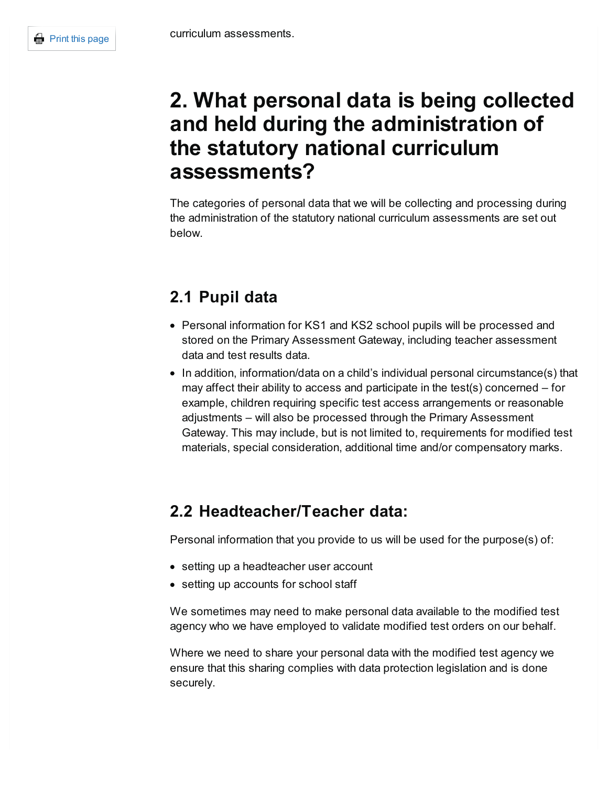### <span id="page-1-0"></span>**2. What personal data is being collected and held during the administration of the statutory national curriculum assessments?**

The categories of personal data that we will be collecting and processing during the administration of the statutory national curriculum assessments are set out below.

### **2.1 Pupil data**

- Personal information for KS1 and KS2 school pupils will be processed and stored on the Primary Assessment Gateway, including teacher assessment data and test results data.
- In addition, information/data on a child's individual personal circumstance(s) that may affect their ability to access and participate in the test(s) concerned – for example, children requiring specific test access arrangements or reasonable adjustments – will also be processed through the Primary Assessment Gateway. This may include, but is not limited to, requirements for modified test materials, special consideration, additional time and/or compensatory marks.

### **2.2 Headteacher/Teacher data:**

Personal information that you provide to us will be used for the purpose(s) of:

- setting up a headteacher user account
- setting up accounts for school staff

We sometimes may need to make personal data available to the modified test agency who we have employed to validate modified test orders on our behalf.

Where we need to share your personal data with the modified test agency we ensure that this sharing complies with data protection legislation and is done securely.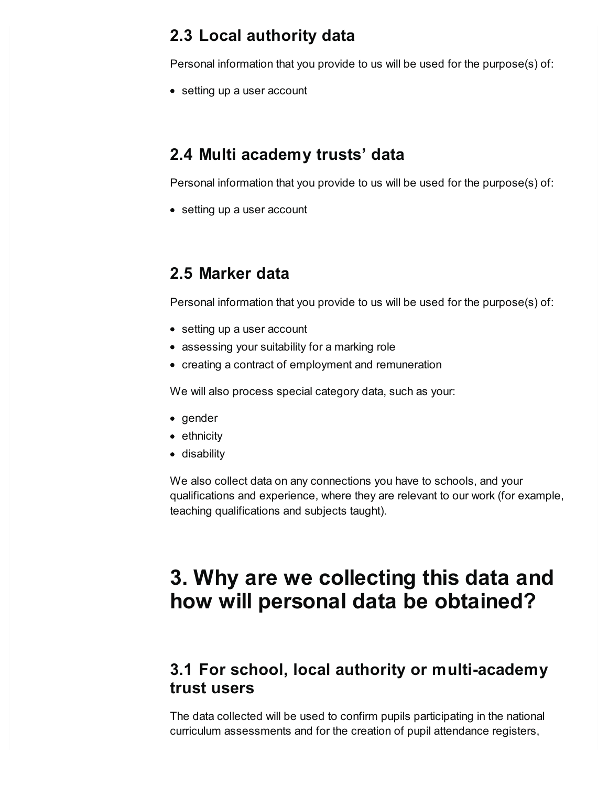#### **2.3 Local authority data**

Personal information that you provide to us will be used for the purpose(s) of:

• setting up a user account

#### **2.4 Multi academy trusts' data**

Personal information that you provide to us will be used for the purpose(s) of:

• setting up a user account

#### **2.5 Marker data**

Personal information that you provide to us will be used for the purpose(s) of:

- setting up a user account
- assessing your suitability for a marking role
- creating a contract of employment and remuneration

We will also process special category data, such as your:

- gender
- ethnicity
- disability

We also collect data on any connections you have to schools, and your qualifications and experience, where they are relevant to our work (for example, teaching qualifications and subjects taught).

## <span id="page-2-0"></span>**3. Why are we collecting this data and how will personal data be obtained?**

#### **3.1 For school, local authority or multi-academy trust users**

The data collected will be used to confirm pupils participating in the national curriculum assessments and for the creation of pupil attendance registers,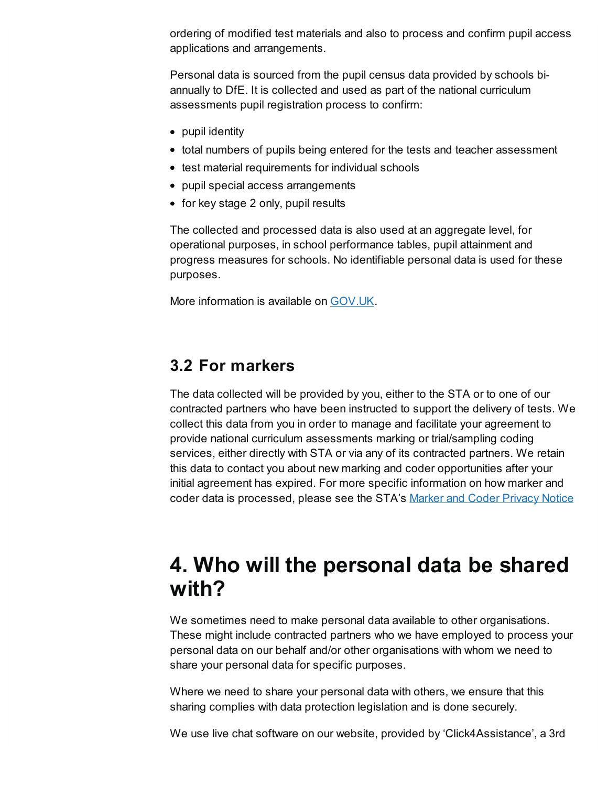ordering of modified test materials and also to process and confirm pupil access applications and arrangements.

Personal data is sourced from the pupil census data provided by schools biannually to DfE. It is collected and used as part of the national curriculum assessments pupil registration process to confirm:

- pupil identity
- total numbers of pupils being entered for the tests and teacher assessment
- test material requirements for individual schools
- pupil special access arrangements
- for key stage 2 only, pupil results

The collected and processed data is also used at an aggregate level, for operational purposes, in school performance tables, pupil attainment and progress measures for schools. No identifiable personal data is used for these purposes.

More information is available on [GOV.UK](https://www.gov.uk/government/collections/national-curriculum-assessments-key-stage-2-tests).

#### **3.2 For markers**

The data collected will be provided by you, either to the STA or to one of our contracted partners who have been instructed to support the delivery of tests. We collect this data from you in order to manage and facilitate your agreement to provide national curriculum assessments marking or trial/sampling coding services, either directly with STA or via any of its contracted partners. We retain this data to contact you about new marking and coder opportunities after your initial agreement has expired. For more specific information on how marker and coder data is processed, please see the STA's Marker and Coder [Privacy](https://draft-origin.publishing.service.gov.uk/government/publications/privacy-notice-sta-markers-and-coders) Notice

### <span id="page-3-0"></span>**4. Who will the personal data be shared with?**

We sometimes need to make personal data available to other organisations. These might include contracted partners who we have employed to process your personal data on our behalf and/or other organisations with whom we need to share your personal data for specific purposes.

Where we need to share your personal data with others, we ensure that this sharing complies with data protection legislation and is done securely.

We use live chat software on our website, provided by 'Click4Assistance', a 3rd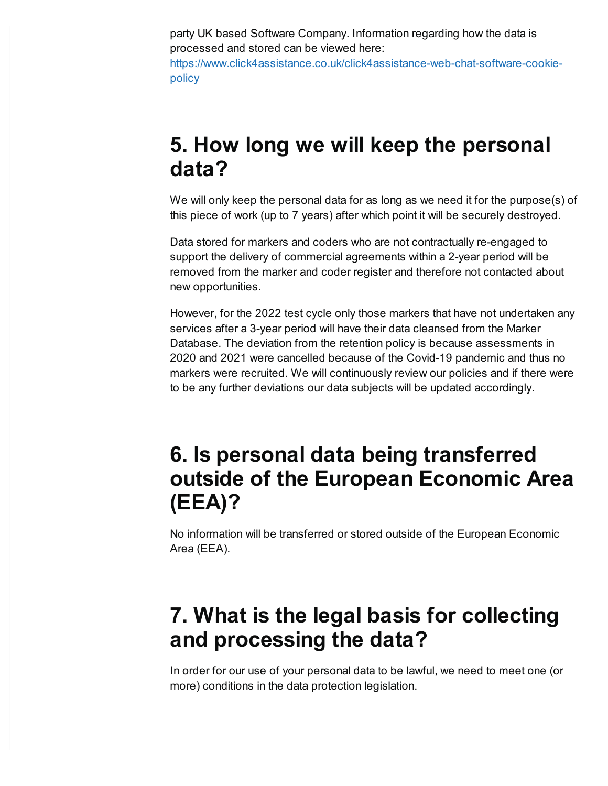party UK based Software Company. Information regarding how the data is processed and stored can be viewed here: [https://www.click4assistance.co.uk/click4assistance-web-chat-software-cookie](https://www.click4assistance.co.uk/click4assistance-web-chat-software-cookie-policy)policy

### <span id="page-4-0"></span>**5. How long we will keep the personal data?**

We will only keep the personal data for as long as we need it for the purpose(s) of this piece of work (up to 7 years) after which point it will be securely destroyed.

Data stored for markers and coders who are not contractually re-engaged to support the delivery of commercial agreements within a 2-year period will be removed from the marker and coder register and therefore not contacted about new opportunities.

However, for the 2022 test cycle only those markers that have not undertaken any services after a 3-year period will have their data cleansed from the Marker Database. The deviation from the retention policy is because assessments in 2020 and 2021 were cancelled because of the Covid-19 pandemic and thus no markers were recruited. We will continuously review our policies and if there were to be any further deviations our data subjects will be updated accordingly.

### <span id="page-4-1"></span>**6. Is personal data being transferred outside of the European Economic Area (EEA)?**

No information will be transferred or stored outside of the European Economic Area (EEA).

## <span id="page-4-2"></span>**7. What is the legal basis for collecting and processing the data?**

In order for our use of your personal data to be lawful, we need to meet one (or more) conditions in the data protection legislation.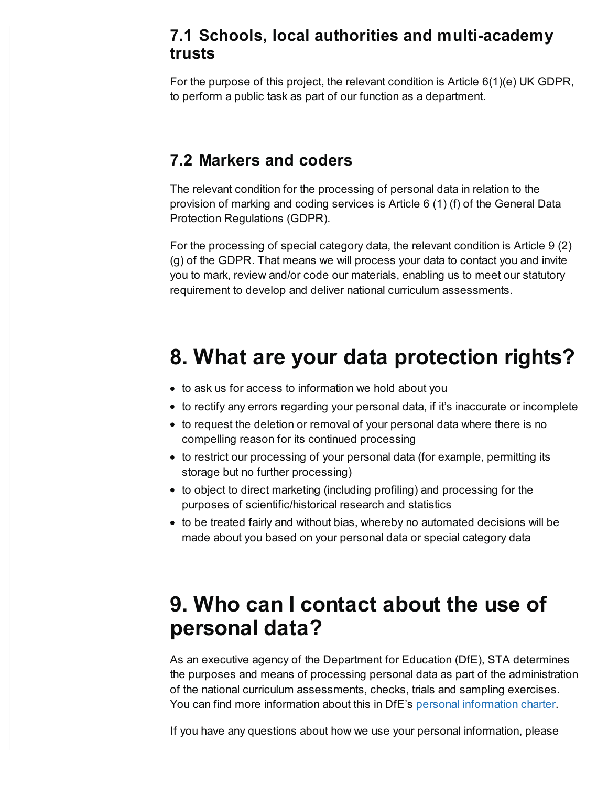#### **7.1 Schools, local authorities and multi-academy trusts**

For the purpose of this project, the relevant condition is Article 6(1)(e) UK GDPR, to perform a public task as part of our function as a department.

#### **7.2 Markers and coders**

The relevant condition for the processing of personal data in relation to the provision of marking and coding services is Article 6 (1) (f) of the General Data Protection Regulations (GDPR).

For the processing of special category data, the relevant condition is Article 9 (2) (g) of the GDPR. That means we will process your data to contact you and invite you to mark, review and/or code our materials, enabling us to meet our statutory requirement to develop and deliver national curriculum assessments.

## <span id="page-5-0"></span>**8. What are your data protection rights?**

- to ask us for access to information we hold about you
- to rectify any errors regarding your personal data, if it's inaccurate or incomplete
- to request the deletion or removal of your personal data where there is no compelling reason for its continued processing
- to restrict our processing of your personal data (for example, permitting its storage but no further processing)
- to object to direct marketing (including profiling) and processing for the purposes of scientific/historical research and statistics
- to be treated fairly and without bias, whereby no automated decisions will be made about you based on your personal data or special category data

### <span id="page-5-1"></span>**9. Who can I contact about the use of personal data?**

As an executive agency of the Department for Education (DfE), STA determines the purposes and means of processing personal data as part of the administration of the national curriculum assessments, checks, trials and sampling exercises. You can find more [information](https://www.gov.uk/government/organisations/department-for-education/about/personal-information-charter) about this in DfE's personal information charter.

If you have any questions about how we use your personal information, please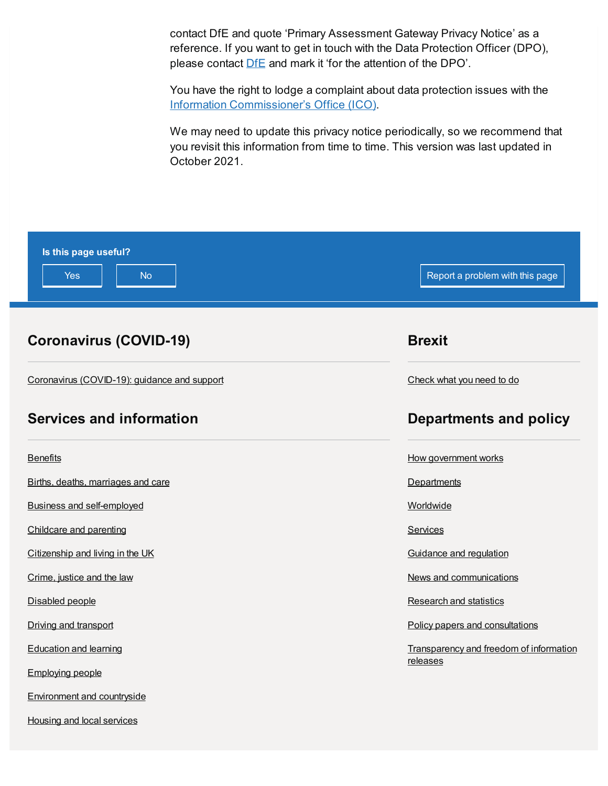contact DfE and quote 'Primary Assessment Gateway Privacy Notice' as a reference. If you want to get in touch with the Data Protection Officer (DPO), please contact **[DfE](https://www.gov.uk/contact-dfe)** and mark it 'for the attention of the DPO'.

You have the right to lodge a complaint about data protection issues with the Information [Commissioner's](https://ico.org.uk/make-a-complaint/) Office (ICO).

We may need to update this privacy notice periodically, so we recommend that you revisit this information from time to time. This version was last updated in October 2021.

| Is this page useful?<br><b>Yes</b><br><b>No</b> | Report a problem with this page         |
|-------------------------------------------------|-----------------------------------------|
| <b>Coronavirus (COVID-19)</b>                   | <b>Brexit</b>                           |
| Coronavirus (COVID-19): guidance and support    | Check what you need to do               |
| <b>Services and information</b>                 | <b>Departments and policy</b>           |
| <b>Benefits</b>                                 | How government works                    |
| Births, deaths, marriages and care              | Departments                             |
| <b>Business and self-employed</b>               | Worldwide                               |
| Childcare and parenting                         | Services                                |
| Citizenship and living in the UK                | Guidance and regulation                 |
| Crime, justice and the law                      | News and communications                 |
| Disabled people                                 | <b>Research and statistics</b>          |
| Driving and transport                           | Policy papers and consultations         |
| <b>Education and learning</b>                   | Transparency and freedom of information |
| <b>Employing people</b>                         | releases                                |
| Environment and countryside                     |                                         |

Housing and local [services](https://www.gov.uk/browse/housing-local-services)